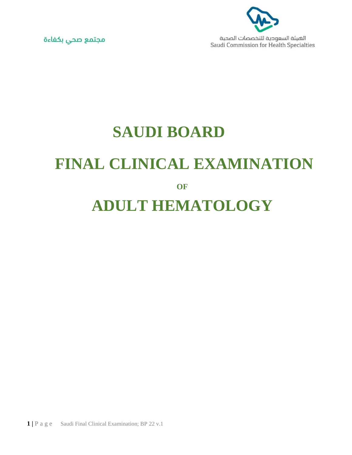

الهيئة السعودية للتخصصات الصحية Saudi Commission for Health Specialties



## **SAUDI BOARD FINAL CLINICAL EXAMINATION OF ADULT HEMATOLOGY**

**1 |** P a g e Saudi Final Clinical Examination; BP 22 v.1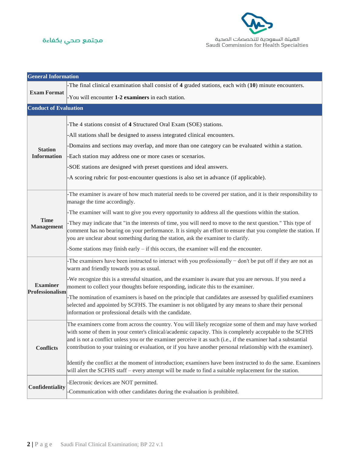



| <b>General Information</b>           |                                                                                                                                                                                                                                                                                                                                                                                                                                                       |  |  |  |  |
|--------------------------------------|-------------------------------------------------------------------------------------------------------------------------------------------------------------------------------------------------------------------------------------------------------------------------------------------------------------------------------------------------------------------------------------------------------------------------------------------------------|--|--|--|--|
| <b>Exam Format</b>                   | -The final clinical examination shall consist of $4$ graded stations, each with $(10)$ minute encounters.                                                                                                                                                                                                                                                                                                                                             |  |  |  |  |
|                                      | -You will encounter 1-2 examiners in each station.                                                                                                                                                                                                                                                                                                                                                                                                    |  |  |  |  |
| <b>Conduct of Evaluation</b>         |                                                                                                                                                                                                                                                                                                                                                                                                                                                       |  |  |  |  |
| <b>Station</b><br><b>Information</b> | -The 4 stations consist of 4 Structured Oral Exam (SOE) stations.                                                                                                                                                                                                                                                                                                                                                                                     |  |  |  |  |
|                                      | -All stations shall be designed to assess integrated clinical encounters.                                                                                                                                                                                                                                                                                                                                                                             |  |  |  |  |
|                                      | Domains and sections may overlap, and more than one category can be evaluated within a station.                                                                                                                                                                                                                                                                                                                                                       |  |  |  |  |
|                                      | -Each station may address one or more cases or scenarios.                                                                                                                                                                                                                                                                                                                                                                                             |  |  |  |  |
|                                      | -SOE stations are designed with preset questions and ideal answers.                                                                                                                                                                                                                                                                                                                                                                                   |  |  |  |  |
|                                      | -A scoring rubric for post-encounter questions is also set in advance (if applicable).                                                                                                                                                                                                                                                                                                                                                                |  |  |  |  |
|                                      |                                                                                                                                                                                                                                                                                                                                                                                                                                                       |  |  |  |  |
|                                      | -The examiner is aware of how much material needs to be covered per station, and it is their responsibility to<br>manage the time accordingly.                                                                                                                                                                                                                                                                                                        |  |  |  |  |
|                                      | -The examiner will want to give you every opportunity to address all the questions within the station.                                                                                                                                                                                                                                                                                                                                                |  |  |  |  |
| <b>Time</b><br><b>Management</b>     | -They may indicate that "in the interests of time, you will need to move to the next question." This type of<br>comment has no bearing on your performance. It is simply an effort to ensure that you complete the station. If<br>you are unclear about something during the station, ask the examiner to clarify.                                                                                                                                    |  |  |  |  |
|                                      | -Some stations may finish early $-$ if this occurs, the examiner will end the encounter.                                                                                                                                                                                                                                                                                                                                                              |  |  |  |  |
| <b>Examiner</b><br>Professionalism   | The examiners have been instructed to interact with you professionally – don't be put off if they are not as<br>warm and friendly towards you as usual.                                                                                                                                                                                                                                                                                               |  |  |  |  |
|                                      | -We recognize this is a stressful situation, and the examiner is aware that you are nervous. If you need a<br>moment to collect your thoughts before responding, indicate this to the examiner.                                                                                                                                                                                                                                                       |  |  |  |  |
|                                      | -The nomination of examiners is based on the principle that candidates are assessed by qualified examiners<br>selected and appointed by SCFHS. The examiner is not obligated by any means to share their personal<br>information or professional details with the candidate.                                                                                                                                                                          |  |  |  |  |
| <b>Conflicts</b>                     | The examiners come from across the country. You will likely recognize some of them and may have worked<br>with some of them in your center's clinical/academic capacity. This is completely acceptable to the SCFHS<br>and is not a conflict unless you or the examiner perceive it as such (i.e., if the examiner had a substantial<br>contribution to your training or evaluation, or if you have another personal relationship with the examiner). |  |  |  |  |
|                                      | Identify the conflict at the moment of introduction; examiners have been instructed to do the same. Examiners<br>will alert the SCFHS staff – every attempt will be made to find a suitable replacement for the station.                                                                                                                                                                                                                              |  |  |  |  |
| Confidentiality                      | -Electronic devices are NOT permitted.<br>Communication with other candidates during the evaluation is prohibited.                                                                                                                                                                                                                                                                                                                                    |  |  |  |  |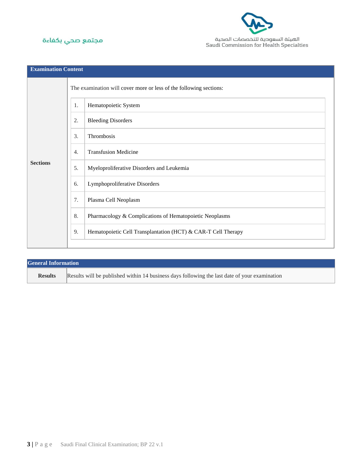



| <b>Examination Content</b> |                                                                    |                                                               |  |  |  |
|----------------------------|--------------------------------------------------------------------|---------------------------------------------------------------|--|--|--|
| <b>Sections</b>            | The examination will cover more or less of the following sections: |                                                               |  |  |  |
|                            | 1.                                                                 | Hematopoietic System                                          |  |  |  |
|                            | 2.                                                                 | <b>Bleeding Disorders</b>                                     |  |  |  |
|                            | 3.                                                                 | Thrombosis                                                    |  |  |  |
|                            | 4.                                                                 | <b>Transfusion Medicine</b>                                   |  |  |  |
|                            | 5.                                                                 | Myeloproliferative Disorders and Leukemia                     |  |  |  |
|                            | 6.                                                                 | Lymphoproliferative Disorders                                 |  |  |  |
|                            | 7.                                                                 | Plasma Cell Neoplasm                                          |  |  |  |
|                            | 8.                                                                 | Pharmacology & Complications of Hematopoietic Neoplasms       |  |  |  |
|                            | 9.                                                                 | Hematopoietic Cell Transplantation (HCT) & CAR-T Cell Therapy |  |  |  |
|                            |                                                                    |                                                               |  |  |  |

| <b>General Information</b> |                                                                                               |  |  |
|----------------------------|-----------------------------------------------------------------------------------------------|--|--|
| <b>Results</b>             | Results will be published within 14 business days following the last date of your examination |  |  |